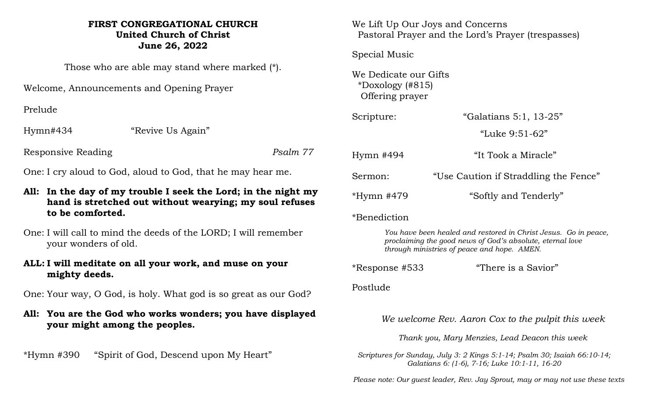## **FIRST CONGREGATIONAL CHURCH United Church of Christ June 26, 2022**

Those who are able may stand where marked (\*).

Welcome, Announcements and Opening Prayer

Prelude

Hymn#434 "Revive Us Again"

Responsive Reading *Psalm 77*

One: I cry aloud to God, aloud to God, that he may hear me.

- **All: In the day of my trouble I seek the Lord; in the night my hand is stretched out without wearying; my soul refuses to be comforted.**
- One: I will call to mind the deeds of the LORD; I will remember your wonders of old.
- **ALL: I will meditate on all your work, and muse on your mighty deeds.**

One: Your way, O God, is holy. What god is so great as our God?

**All: You are the God who works wonders; you have displayed your might among the peoples.**

\*Hymn #390 "Spirit of God, Descend upon My Heart"

We Lift Up Our Joys and Concerns Pastoral Prayer and the Lord's Prayer (trespasses)

Special Music

We Dedicate our Gifts \*Doxology (#815) Offering prayer

| Scripture:   | "Galatians 5:1, 13-25"                |
|--------------|---------------------------------------|
|              | "Luke 9:51-62"                        |
| $Hymn$ #494  | "It Took a Miracle"                   |
| Sermon:      | "Use Caution if Straddling the Fence" |
| $*Hymn$ #479 | "Softly and Tenderly"                 |

\*Benediction

*You have been healed and restored in Christ Jesus. Go in peace, proclaiming the good news of God's absolute, eternal love through ministries of peace and hope. AMEN.*

\*Response #533 "There is a Savior"

Postlude

*We welcome Rev. Aaron Cox to the pulpit this week*

*Thank you, Mary Menzies, Lead Deacon this week*

*Scriptures for Sunday, July 3: 2 Kings 5:1-14; Psalm 30; Isaiah 66:10-14; Galatians 6: (1-6), 7-16; Luke 10:1-11, 16-20*

 *Please note: Our guest leader, Rev. Jay Sprout, may or may not use these texts*